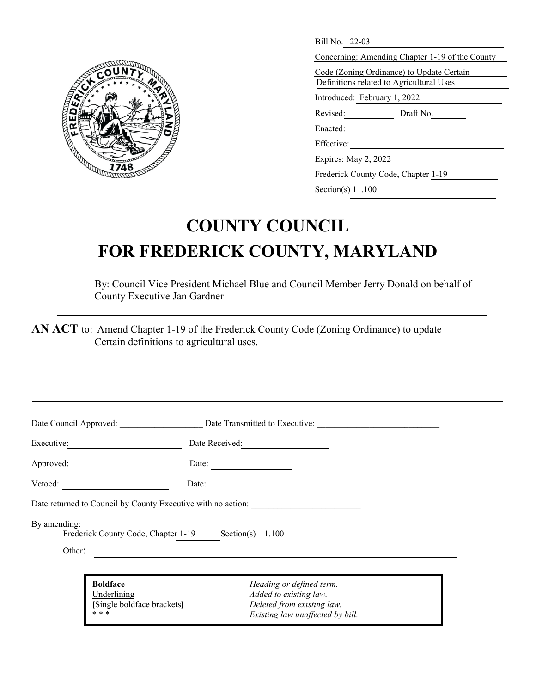

| Bill No. 22-03                                  |  |  |
|-------------------------------------------------|--|--|
| Concerning: Amending Chapter 1-19 of the County |  |  |
| Code (Zoning Ordinance) to Update Certain       |  |  |
| Definitions related to Agricultural Uses        |  |  |
| Introduced: February 1, 2022                    |  |  |
| Revised:<br>Draft No.                           |  |  |
| Enacted:                                        |  |  |
| Effective:                                      |  |  |
| Expires: May 2, 2022                            |  |  |
| Frederick County Code, Chapter 1-19             |  |  |
|                                                 |  |  |

## Section(s) 11.100

## **COUNTY COUNCIL FOR FREDERICK COUNTY, MARYLAND**

By: Council Vice President Michael Blue and Council Member Jerry Donald on behalf of County Executive Jan Gardner

**AN ACT** to: Amend Chapter 1-19 of the Frederick County Code (Zoning Ordinance) to update Certain definitions to agricultural uses.

|                        |                                                                       | Date Council Approved: Date Transmitted to Executive:                                                                |
|------------------------|-----------------------------------------------------------------------|----------------------------------------------------------------------------------------------------------------------|
| Executive:             |                                                                       | Date Received:                                                                                                       |
|                        | Approved:                                                             | Date:                                                                                                                |
|                        | Vetoed:                                                               | Date:                                                                                                                |
|                        |                                                                       | Date returned to Council by County Executive with no action:                                                         |
| By amending:<br>Other: |                                                                       | Frederick County Code, Chapter 1-19 Section(s) 11.100                                                                |
|                        |                                                                       |                                                                                                                      |
|                        | <b>Boldface</b><br>Underlining<br>[Single boldface brackets]<br>* * * | Heading or defined term.<br>Added to existing law.<br>Deleted from existing law.<br>Existing law unaffected by bill. |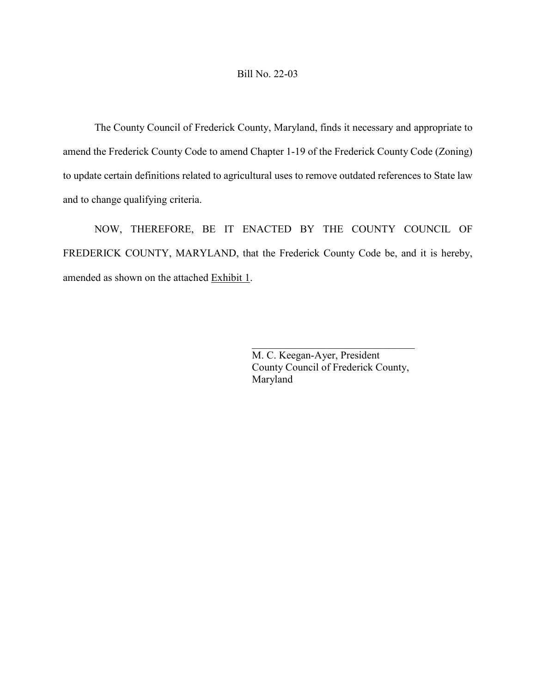## Bill No. 22-03

The County Council of Frederick County, Maryland, finds it necessary and appropriate to amend the Frederick County Code to amend Chapter 1-19 of the Frederick County Code (Zoning) to update certain definitions related to agricultural uses to remove outdated references to State law and to change qualifying criteria.

NOW, THEREFORE, BE IT ENACTED BY THE COUNTY COUNCIL OF FREDERICK COUNTY, MARYLAND, that the Frederick County Code be, and it is hereby, amended as shown on the attached Exhibit 1.

> M. C. Keegan-Ayer, President County Council of Frederick County, Maryland

 $\mathcal{L}_\mathcal{L}$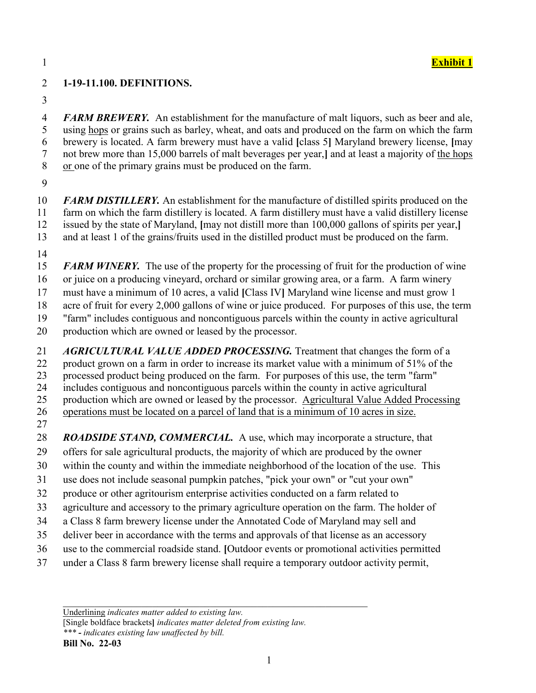## **1-19-11.100. DEFINITIONS.**

 *FARM BREWERY.* An establishment for the manufacture of malt liquors, such as beer and ale, using hops or grains such as barley, wheat, and oats and produced on the farm on which the farm brewery is located. A farm brewery must have a valid **[**class 5**]** Maryland brewery license, **[**may not brew more than 15,000 barrels of malt beverages per year,**]** and at least a majority of the hops or one of the primary grains must be produced on the farm.

 *FARM DISTILLERY.* An establishment for the manufacture of distilled spirits produced on the farm on which the farm distillery is located. A farm distillery must have a valid distillery license issued by the state of Maryland, **[**may not distill more than 100,000 gallons of spirits per year,**]** 

and at least 1 of the grains/fruits used in the distilled product must be produced on the farm.

**FARM WINERY.** The use of the property for the processing of fruit for the production of wine or juice on a producing vineyard, orchard or similar growing area, or a farm. A farm winery must have a minimum of 10 acres, a valid **[**Class IV**]** Maryland wine license and must grow 1 acre of fruit for every 2,000 gallons of wine or juice produced. For purposes of this use, the term "farm" includes contiguous and noncontiguous parcels within the county in active agricultural

production which are owned or leased by the processor.

 *AGRICULTURAL VALUE ADDED PROCESSING.* Treatment that changes the form of a product grown on a farm in order to increase its market value with a minimum of 51% of the processed product being produced on the farm. For purposes of this use, the term "farm" includes contiguous and noncontiguous parcels within the county in active agricultural production which are owned or leased by the processor. Agricultural Value Added Processing operations must be located on a parcel of land that is a minimum of 10 acres in size. 

**ROADSIDE STAND, COMMERCIAL.** A use, which may incorporate a structure, that offers for sale agricultural products, the majority of which are produced by the owner

- within the county and within the immediate neighborhood of the location of the use. This
- use does not include seasonal pumpkin patches, "pick your own" or "cut your own"
- produce or other agritourism enterprise activities conducted on a farm related to
- agriculture and accessory to the primary agriculture operation on the farm. The holder of
- a Class 8 farm brewery license under the Annotated Code of Maryland may sell and
- deliver beer in accordance with the terms and approvals of that license as an accessory
- 
- use to the commercial roadside stand. **[**Outdoor events or promotional activities permitted
- under a Class 8 farm brewery license shall require a temporary outdoor activity permit,